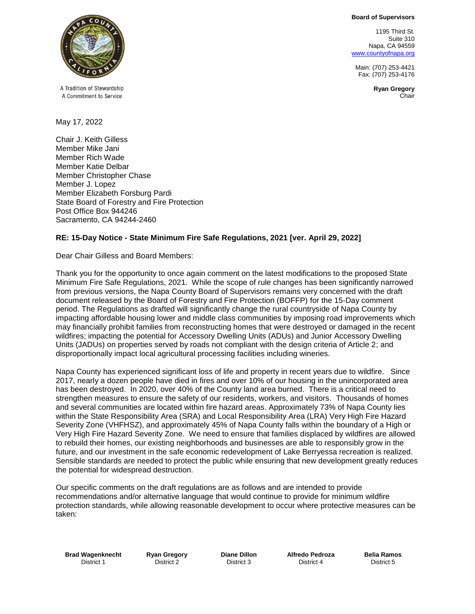**Board of Supervisors**

1195 Third St. Suite 310 Napa, CA 94559 [www.countyofnapa.org](http://www.countyofnapa.org/)

Main: (707) 253-4421 Fax: (707) 253-4176

> **Ryan Gregory** Chair



A Tradition of Stewardship A Commitment to Service

May 17, 2022

Chair J. Keith Gilless Member Mike Jani Member Rich Wade Member Katie Delbar Member Christopher Chase Member J. Lopez Member Elizabeth Forsburg Pardi State Board of Forestry and Fire Protection Post Office Box 944246 Sacramento, CA 94244-2460

# **RE: 15-Day Notice - State Minimum Fire Safe Regulations, 2021 [ver. April 29, 2022]**

Dear Chair Gilless and Board Members:

Thank you for the opportunity to once again comment on the latest modifications to the proposed State Minimum Fire Safe Regulations, 2021. While the scope of rule changes has been significantly narrowed from previous versions, the Napa County Board of Supervisors remains very concerned with the draft document released by the Board of Forestry and Fire Protection (BOFFP) for the 15-Day comment period. The Regulations as drafted will significantly change the rural countryside of Napa County by impacting affordable housing lower and middle class communities by imposing road improvements which may financially prohibit families from reconstructing homes that were destroyed or damaged in the recent wildfires; impacting the potential for Accessory Dwelling Units (ADUs) and Junior Accessory Dwelling Units (JADUs) on properties served by roads not compliant with the design criteria of Article 2; and disproportionally impact local agricultural processing facilities including wineries.

Napa County has experienced significant loss of life and property in recent years due to wildfire. Since 2017, nearly a dozen people have died in fires and over 10% of our housing in the unincorporated area has been destroyed. In 2020, over 40% of the County land area burned. There is a critical need to strengthen measures to ensure the safety of our residents, workers, and visitors. Thousands of homes and several communities are located within fire hazard areas. Approximately 73% of Napa County lies within the State Responsibility Area (SRA) and Local Responsibility Area (LRA) Very High Fire Hazard Severity Zone (VHFHSZ), and approximately 45% of Napa County falls within the boundary of a High or Very High Fire Hazard Severity Zone. We need to ensure that families displaced by wildfires are allowed to rebuild their homes, our existing neighborhoods and businesses are able to responsibly grow in the future, and our investment in the safe economic redevelopment of Lake Berryessa recreation is realized. Sensible standards are needed to protect the public while ensuring that new development greatly reduces the potential for widespread destruction.

Our specific comments on the draft regulations are as follows and are intended to provide recommendations and/or alternative language that would continue to provide for minimum wildfire protection standards, while allowing reasonable development to occur where protective measures can be taken:

**Brad Wagenknecht** District 1

**Ryan Gregory** District 2

**Diane Dillon** District 3

**Alfredo Pedroza** District 4

**Belia Ramos** District 5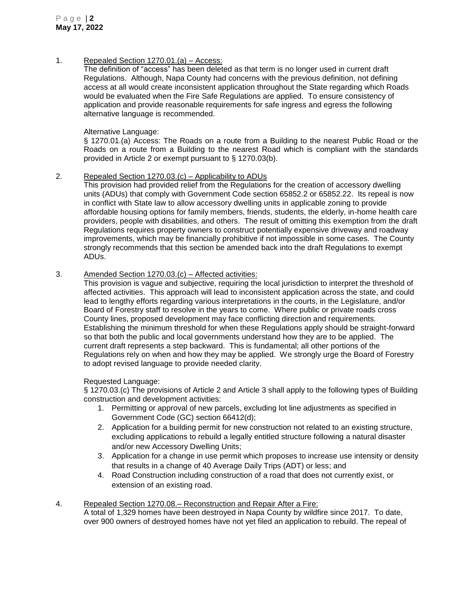1. Repealed Section 1270.01.(a) – Access:

The definition of "access" has been deleted as that term is no longer used in current draft Regulations. Although, Napa County had concerns with the previous definition, not defining access at all would create inconsistent application throughout the State regarding which Roads would be evaluated when the Fire Safe Regulations are applied. To ensure consistency of application and provide reasonable requirements for safe ingress and egress the following alternative language is recommended.

## Alternative Language:

§ 1270.01.(a) Access: The Roads on a route from a Building to the nearest Public Road or the Roads on a route from a Building to the nearest Road which is compliant with the standards provided in Article 2 or exempt pursuant to § 1270.03(b).

## 2. Repealed Section 1270.03.(c) – Applicability to ADUs

This provision had provided relief from the Regulations for the creation of accessory dwelling units (ADUs) that comply with Government Code section 65852.2 or 65852.22. Its repeal is now in conflict with State law to allow accessory dwelling units in applicable zoning to provide affordable housing options for family members, friends, students, the elderly, in-home health care providers, people with disabilities, and others. The result of omitting this exemption from the draft Regulations requires property owners to construct potentially expensive driveway and roadway improvements, which may be financially prohibitive if not impossible in some cases. The County strongly recommends that this section be amended back into the draft Regulations to exempt ADUs.

## 3. Amended Section 1270.03.(c) – Affected activities:

This provision is vague and subjective, requiring the local jurisdiction to interpret the threshold of affected activities. This approach will lead to inconsistent application across the state, and could lead to lengthy efforts regarding various interpretations in the courts, in the Legislature, and/or Board of Forestry staff to resolve in the years to come. Where public or private roads cross County lines, proposed development may face conflicting direction and requirements. Establishing the minimum threshold for when these Regulations apply should be straight-forward so that both the public and local governments understand how they are to be applied. The current draft represents a step backward. This is fundamental; all other portions of the Regulations rely on when and how they may be applied. We strongly urge the Board of Forestry to adopt revised language to provide needed clarity.

#### Requested Language:

§ 1270.03.(c) The provisions of Article 2 and Article 3 shall apply to the following types of Building construction and development activities:

- 1. Permitting or approval of new parcels, excluding lot line adjustments as specified in Government Code (GC) section 66412(d);
- 2. Application for a building permit for new construction not related to an existing structure, excluding applications to rebuild a legally entitled structure following a natural disaster and/or new Accessory Dwelling Units;
- 3. Application for a change in use permit which proposes to increase use intensity or density that results in a change of 40 Average Daily Trips (ADT) or less; and
- 4. Road Construction including construction of a road that does not currently exist, or extension of an existing road.

#### 4. Repealed Section 1270.08.– Reconstruction and Repair After a Fire:

A total of 1,329 homes have been destroyed in Napa County by wildfire since 2017. To date, over 900 owners of destroyed homes have not yet filed an application to rebuild. The repeal of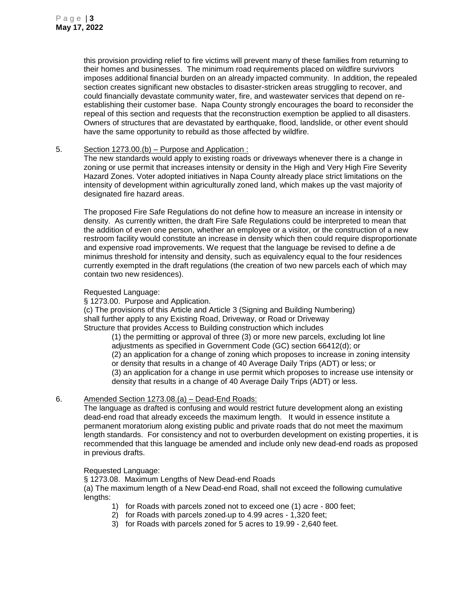this provision providing relief to fire victims will prevent many of these families from returning to their homes and businesses. The minimum road requirements placed on wildfire survivors imposes additional financial burden on an already impacted community. In addition, the repealed section creates significant new obstacles to disaster-stricken areas struggling to recover, and could financially devastate community water, fire, and wastewater services that depend on reestablishing their customer base. Napa County strongly encourages the board to reconsider the repeal of this section and requests that the reconstruction exemption be applied to all disasters. Owners of structures that are devastated by earthquake, flood, landslide, or other event should have the same opportunity to rebuild as those affected by wildfire.

#### 5. Section 1273.00.(b) – Purpose and Application :

The new standards would apply to existing roads or driveways whenever there is a change in zoning or use permit that increases intensity or density in the High and Very High Fire Severity Hazard Zones. Voter adopted initiatives in Napa County already place strict limitations on the intensity of development within agriculturally zoned land, which makes up the vast majority of designated fire hazard areas.

The proposed Fire Safe Regulations do not define how to measure an increase in intensity or density. As currently written, the draft Fire Safe Regulations could be interpreted to mean that the addition of even one person, whether an employee or a visitor, or the construction of a new restroom facility would constitute an increase in density which then could require disproportionate and expensive road improvements. We request that the language be revised to define a de minimus threshold for intensity and density, such as equivalency equal to the four residences currently exempted in the draft regulations (the creation of two new parcels each of which may contain two new residences).

# Requested Language:

§ 1273.00. Purpose and Application. (c) The provisions of this Article and Article 3 (Signing and Building Numbering) shall further apply to any Existing Road, Driveway, or Road or Driveway Structure that provides Access to Building construction which includes

(1) the permitting or approval of three (3) or more new parcels, excluding lot line adjustments as specified in Government Code (GC) section 66412(d); or (2) an application for a change of zoning which proposes to increase in zoning intensity or density that results in a change of 40 Average Daily Trips (ADT) or less; or (3) an application for a change in use permit which proposes to increase use intensity or density that results in a change of 40 Average Daily Trips (ADT) or less.

# 6. Amended Section 1273.08.(a) – Dead-End Roads:

The language as drafted is confusing and would restrict future development along an existing dead-end road that already exceeds the maximum length. It would in essence institute a permanent moratorium along existing public and private roads that do not meet the maximum length standards. For consistency and not to overburden development on existing properties, it is recommended that this language be amended and include only new dead-end roads as proposed in previous drafts.

# Requested Language:

§ 1273.08. Maximum Lengths of New Dead-end Roads

(a) The maximum length of a New Dead-end Road, shall not exceed the following cumulative lengths:

- 1) for Roads with parcels zoned not to exceed one (1) acre 800 feet;
- 2) for Roads with parcels zoned up to 4.99 acres 1,320 feet;
- 3) for Roads with parcels zoned for 5 acres to 19.99 2,640 feet.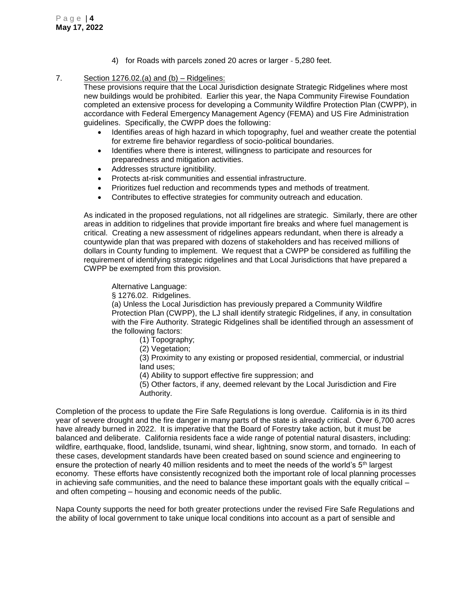4) for Roads with parcels zoned 20 acres or larger - 5,280 feet.

# 7. Section 1276.02.(a) and (b) – Ridgelines:

These provisions require that the Local Jurisdiction designate Strategic Ridgelines where most new buildings would be prohibited. Earlier this year, the Napa Community Firewise Foundation completed an extensive process for developing a Community Wildfire Protection Plan (CWPP), in accordance with Federal Emergency Management Agency (FEMA) and US Fire Administration guidelines. Specifically, the CWPP does the following:

- Identifies areas of high hazard in which topography, fuel and weather create the potential for extreme fire behavior regardless of socio-political boundaries.
- Identifies where there is interest, willingness to participate and resources for preparedness and mitigation activities.
- Addresses structure ignitibility.
- Protects at-risk communities and essential infrastructure.
- Prioritizes fuel reduction and recommends types and methods of treatment.
- Contributes to effective strategies for community outreach and education.

As indicated in the proposed regulations, not all ridgelines are strategic. Similarly, there are other areas in addition to ridgelines that provide important fire breaks and where fuel management is critical. Creating a new assessment of ridgelines appears redundant, when there is already a countywide plan that was prepared with dozens of stakeholders and has received millions of dollars in County funding to implement. We request that a CWPP be considered as fulfilling the requirement of identifying strategic ridgelines and that Local Jurisdictions that have prepared a CWPP be exempted from this provision.

Alternative Language:

§ 1276.02. Ridgelines.

(a) Unless the Local Jurisdiction has previously prepared a Community Wildfire Protection Plan (CWPP), the LJ shall identify strategic Ridgelines, if any, in consultation with the Fire Authority. Strategic Ridgelines shall be identified through an assessment of the following factors:

- (1) Topography;
- (2) Vegetation;

(3) Proximity to any existing or proposed residential, commercial, or industrial land uses;

(4) Ability to support effective fire suppression; and

(5) Other factors, if any, deemed relevant by the Local Jurisdiction and Fire Authority.

Completion of the process to update the Fire Safe Regulations is long overdue. California is in its third year of severe drought and the fire danger in many parts of the state is already critical. Over 6,700 acres have already burned in 2022. It is imperative that the Board of Forestry take action, but it must be balanced and deliberate. California residents face a wide range of potential natural disasters, including: wildfire, earthquake, flood, landslide, tsunami, wind shear, lightning, snow storm, and tornado. In each of these cases, development standards have been created based on sound science and engineering to ensure the protection of nearly 40 million residents and to meet the needs of the world's 5th largest economy. These efforts have consistently recognized both the important role of local planning processes in achieving safe communities, and the need to balance these important goals with the equally critical – and often competing – housing and economic needs of the public.

Napa County supports the need for both greater protections under the revised Fire Safe Regulations and the ability of local government to take unique local conditions into account as a part of sensible and